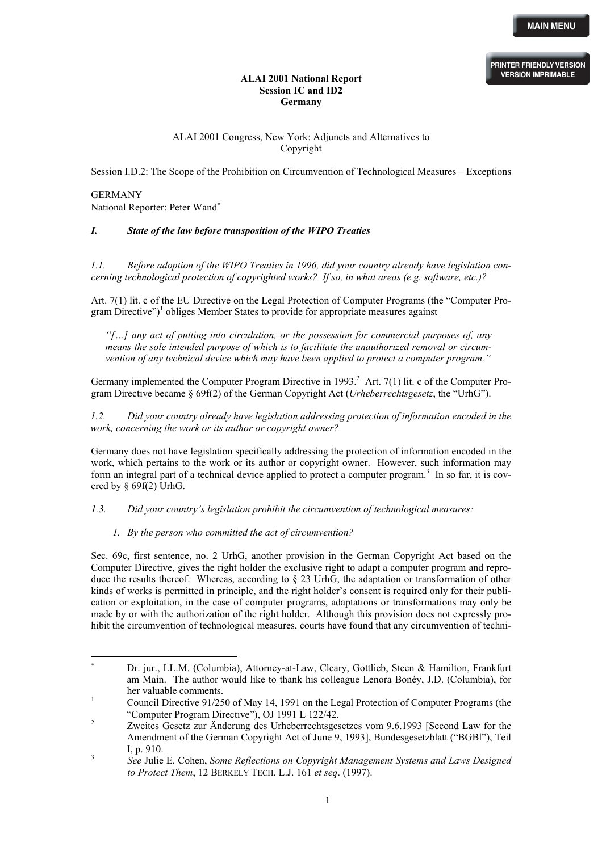#### **ALAI 2001 National Report Session IC and ID2 Germany**

# ALAI 2001 Congress, New York: Adjuncts and Alternatives to Copyright

Session I.D.2: The Scope of the Prohibition on Circumvention of Technological Measures – Exceptions

# GERMANY National Reporter: Peter Wand[∗](#page-0-0)

l

# *I. State of the law before transposition of the WIPO Treaties*

*1.1. Before adoption of the WIPO Treaties in 1996, did your country already have legislation concerning technological protection of copyrighted works? If so, in what areas (e.g. software, etc.)?*

Art. 7(1) lit. c of the EU Directive on the Legal Protection of Computer Programs (the "Computer Program Directive")<sup>1</sup> [o](#page-0-1)bliges Member States to provide for appropriate measures against

*"[…] any act of putting into circulation, or the possession for commercial purposes of, any means the sole intended purpose of which is to facilitate the unauthorized removal or circumvention of any technical device which may have been applied to protect a computer program."* 

Germany implemented the Computer Program Directive in 1993.<sup>[2](#page-0-2)</sup> Art. 7(1) lit. c of the Computer Program Directive became § 69f(2) of the German Copyright Act (*Urheberrechtsgesetz*, the "UrhG").

*1.2. Did your country already have legislation addressing protection of information encoded in the work, concerning the work or its author or copyright owner?* 

Germany does not have legislation specifically addressing the protection of information encoded in the work, which pertains to the work or its author or copyright owner. However, such information may form an integral part of a technical device applied to protect a computer program.<sup>[3](#page-0-3)</sup> In so far, it is covered by § 69f(2) UrhG.

*1.3. Did your country's legislation prohibit the circumvention of technological measures:* 

#### *1. By the person who committed the act of circumvention?*

Sec. 69c, first sentence, no. 2 UrhG, another provision in the German Copyright Act based on the Computer Directive, gives the right holder the exclusive right to adapt a computer program and reproduce the results thereof. Whereas, according to § 23 UrhG, the adaptation or transformation of other kinds of works is permitted in principle, and the right holder's consent is required only for their publication or exploitation, in the case of computer programs, adaptations or transformations may only be made by or with the authorization of the right holder. Although this provision does not expressly prohibit the circumvention of technological measures, courts have found that any circumvention of techni-

<span id="page-0-0"></span><sup>∗</sup> Dr. jur., LL.M. (Columbia), Attorney-at-Law, Cleary, Gottlieb, Steen & Hamilton, Frankfurt am Main. The author would like to thank his colleague Lenora Bonéy, J.D. (Columbia), for her valuable comments.<br><sup>1</sup> Council Directive 91/250 of May 14, 1991 on the Legal Protection of Computer Programs (the

<span id="page-0-1"></span><sup>&</sup>quot;Computer Program Directive"), OJ 1991 L 122/42. 2 Zweites Gesetz zur Änderung des Urheberrechtsgesetzes vom 9.6.1993 [Second Law for the

<span id="page-0-2"></span>Amendment of the German Copyright Act of June 9, 1993], Bundesgesetzblatt ("BGBl"), Teil  $I, p. 910.$ 

<span id="page-0-3"></span>*See* Julie E. Cohen, *Some Reflections on Copyright Management Systems and Laws Designed to Protect Them*, 12 BERKELY TECH. L.J. 161 *et seq*. (1997).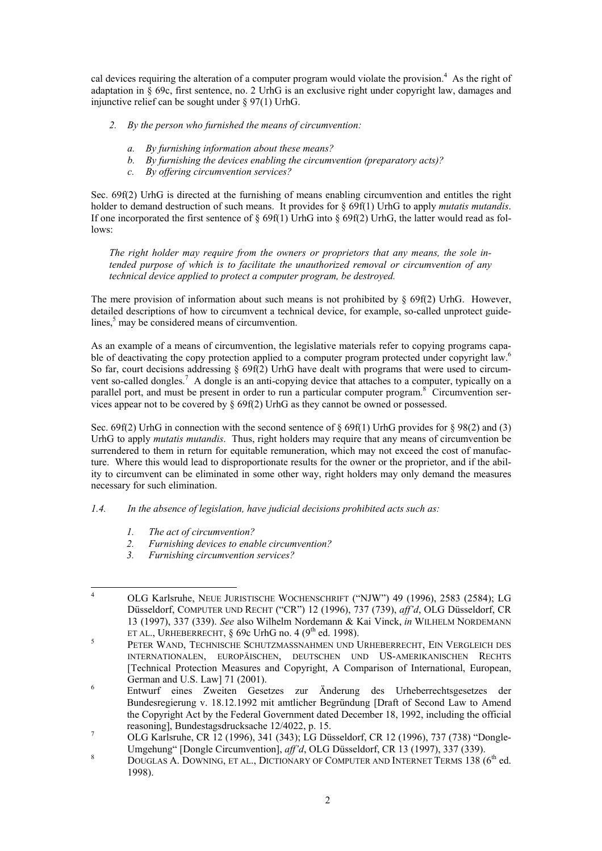cal devices requiring the alteration of a computer program would violate the provision.<sup>[4](#page-1-0)</sup> As the right of adaptation in  $\S$  69c, first sentence, no. 2 UrhG is an exclusive right under copyright law, damages and injunctive relief can be sought under § 97(1) UrhG.

- *2. By the person who furnished the means of circumvention:* 
	- *a. By furnishing information about these means?*
	- *b. By furnishing the devices enabling the circumvention (preparatory acts)?*
	- *c. By offering circumvention services?*

Sec. 69f(2) UrhG is directed at the furnishing of means enabling circumvention and entitles the right holder to demand destruction of such means. It provides for § 69f(1) UrhG to apply *mutatis mutandis*. If one incorporated the first sentence of  $\S 69f(1)$  UrhG into  $\S 69f(2)$  UrhG, the latter would read as follows:

The right holder may require from the owners or proprietors that any means, the sole in*tended purpose of which is to facilitate the unauthorized removal or circumvention of any technical device applied to protect a computer program, be destroyed.* 

The mere provision of information about such means is not prohibited by  $\S$  69f(2) UrhG. However, detailed descriptions of how to circumvent a technical device, for example, so-called unprotect guide-lines,<sup>[5](#page-1-1)</sup> may be considered means of circumvention.

As an example of a means of circumvention, the legislative materials refer to copying programs capable of deactivating the copy protection applied to a computer program protected under copyright law.<sup>6</sup> So far, court decisions addressing  $\S 69f(2)$  UrhG have dealt with programs that were used to circum-vent so-called dongles.<sup>[7](#page-1-3)</sup> A dongle is an anti-copying device that attaches to a computer, typically on a parallel port, and must be present in order to run a particular computer program.<sup>[8](#page-1-4)</sup> Circumvention services appear not to be covered by § 69f(2) UrhG as they cannot be owned or possessed.

Sec. 69f(2) UrhG in connection with the second sentence of § 69f(1) UrhG provides for § 98(2) and (3) UrhG to apply *mutatis mutandis*. Thus, right holders may require that any means of circumvention be surrendered to them in return for equitable remuneration, which may not exceed the cost of manufacture. Where this would lead to disproportionate results for the owner or the proprietor, and if the ability to circumvent can be eliminated in some other way, right holders may only demand the measures necessary for such elimination.

# *1.4. In the absence of legislation, have judicial decisions prohibited acts such as:*

- *1. The act of circumvention?*
- *2. Furnishing devices to enable circumvention?*
- *3. Furnishing circumvention services?*

<span id="page-1-0"></span><sup>&</sup>lt;sup>4</sup> OLG Karlsruhe, NEUE JURISTISCHE WOCHENSCHRIFT ("NJW") 49 (1996), 2583 (2584); LG Düsseldorf, COMPUTER UND RECHT ("CR") 12 (1996), 737 (739), *aff'd*, OLG Düsseldorf, CR 13 (1997), 337 (339). *See* also Wilhelm Nordemann & Kai Vinck, *in* WILHELM NORDEMANN ET AL., URHEBERRECHT,  $\S$  69c UrhG no. 4 (9<sup>th</sup> ed. 1998).

<span id="page-1-1"></span>PETER WAND, TECHNISCHE SCHUTZMASSNAHMEN UND URHEBERRECHT, EIN VERGLEICH DES INTERNATIONALEN, EUROPÄISCHEN, DEUTSCHEN UND US-AMERIKANISCHEN RECHTS [Technical Protection Measures and Copyright, A Comparison of International, European,

<span id="page-1-2"></span>German and U.S. Law] 71 (2001). 6 Entwurf eines Zweiten Gesetzes zur Änderung des Urheberrechtsgesetzes der Bundesregierung v. 18.12.1992 mit amtlicher Begründung [Draft of Second Law to Amend the Copyright Act by the Federal Government dated December 18, 1992, including the official reasoning], Bundestagsdrucksache 12/4022, p. 15.<br>
OLG Karlsruhe, CR 12 (1996), 341 (343); LG Düsseldorf, CR 12 (1996), 737 (738) "Dongle-

<span id="page-1-3"></span>Umgehung" [Dongle Circumvention], *aff'd*, OLG Düsseldorf, CR 13 (1997), 337 (339).

<span id="page-1-4"></span>DOUGLAS A. DOWNING, ET AL., DICTIONARY OF COMPUTER AND INTERNET TERMS 138 (6<sup>th</sup> ed. 1998).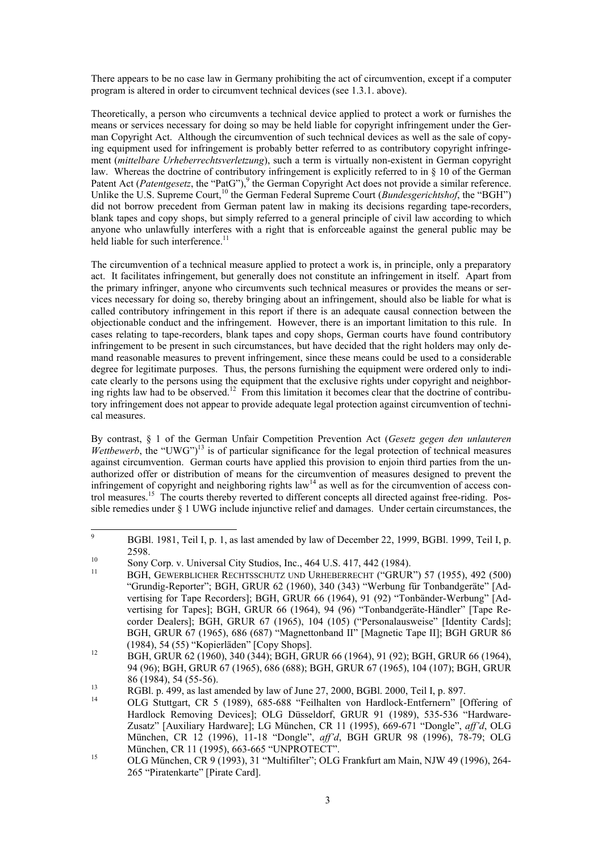There appears to be no case law in Germany prohibiting the act of circumvention, except if a computer program is altered in order to circumvent technical devices (see 1.3.1. above).

Theoretically, a person who circumvents a technical device applied to protect a work or furnishes the means or services necessary for doing so may be held liable for copyright infringement under the German Copyright Act. Although the circumvention of such technical devices as well as the sale of copying equipment used for infringement is probably better referred to as contributory copyright infringement (*mittelbare Urheberrechtsverletzung*), such a term is virtually non-existent in German copyright law. Whereas the doctrine of contributory infringement is explicitly referred to in § 10 of the German Patent Act (*Patentgesetz*, the "PatG"),<sup>9</sup> the German Copyright Act does not provide a similar reference. Unlike the U.S. Supreme Court,<sup>[10](#page-2-1)</sup> the German Federal Supreme Court (*Bundesgerichtshof*, the "BGH") did not borrow precedent from German patent law in making its decisions regarding tape-recorders, blank tapes and copy shops, but simply referred to a general principle of civil law according to which anyone who unlawfully interferes with a right that is enforceable against the general public may be held liable for such interference.<sup>11</sup>

The circumvention of a technical measure applied to protect a work is, in principle, only a preparatory act. It facilitates infringement, but generally does not constitute an infringement in itself. Apart from the primary infringer, anyone who circumvents such technical measures or provides the means or services necessary for doing so, thereby bringing about an infringement, should also be liable for what is called contributory infringement in this report if there is an adequate causal connection between the objectionable conduct and the infringement. However, there is an important limitation to this rule. In cases relating to tape-recorders, blank tapes and copy shops, German courts have found contributory infringement to be present in such circumstances, but have decided that the right holders may only demand reasonable measures to prevent infringement, since these means could be used to a considerable degree for legitimate purposes. Thus, the persons furnishing the equipment were ordered only to indicate clearly to the persons using the equipment that the exclusive rights under copyright and neighboring rights law had to be observed.<sup>12</sup> From this limitation it becomes clear that the doctrine of contributory infringement does not appear to provide adequate legal protection against circumvention of technical measures.

By contrast, § 1 of the German Unfair Competition Prevention Act (*Gesetz gegen den unlauteren Wettbewerb*, the "UWG")<sup>13</sup> is of particular significance for the legal protection of technical measures against circumvention. German courts have applied this provision to enjoin third parties from the unauthorized offer or distribution of means for the circumvention of measures designed to prevent the infringement of copyright and neighboring rights  $law<sup>14</sup>$  as well as for the circumvention of access control measures.[15](#page-2-6) The courts thereby reverted to different concepts all directed against free-riding. Possible remedies under § 1 UWG include injunctive relief and damages. Under certain circumstances, the

<span id="page-2-0"></span> <sup>9</sup> <sup>9</sup> BGBl. 1981, Teil I, p. 1, as last amended by law of December 22, 1999, BGBl. 1999, Teil I, p. <sup>10</sup> Sony Corp. v. Universal City Studios, Inc., 464 U.S. 417, 442 (1984).<br><sup>11</sup> BGH, GEWERBLICHER RECHTSSCHUTZ UND URHEBERRECHT ("GRUR") 57 (1955), 492 (500)

<span id="page-2-1"></span>

<span id="page-2-2"></span><sup>&</sup>quot;Grundig-Reporter"; BGH, GRUR 62 (1960), 340 (343) "Werbung für Tonbandgeräte" [Advertising for Tape Recorders]; BGH, GRUR 66 (1964), 91 (92) "Tonbänder-Werbung" [Advertising for Tapes]; BGH, GRUR 66 (1964), 94 (96) "Tonbandgeräte-Händler" [Tape Recorder Dealers]; BGH, GRUR 67 (1965), 104 (105) ("Personalausweise" [Identity Cards]; BGH, GRUR 67 (1965), 686 (687) "Magnettonband II" [Magnetic Tape II]; BGH GRUR 86 (1984), 54 (55) "Kopierläden" [Copy Shops].

<span id="page-2-3"></span><sup>12</sup> BGH, GRUR 62 (1960), 340 (344); BGH, GRUR 66 (1964), 91 (92); BGH, GRUR 66 (1964), 94 (96); BGH, GRUR 67 (1965), 686 (688); BGH, GRUR 67 (1965), 104 (107); BGH, GRUR 86 (1984), 54 (55-56).<br>
RGBl. p. 499, as last amended by law of June 27, 2000, BGBl. 2000, Teil I, p. 897.<br>
OLG Stuttgart, CR 5 (1989), 685-688 "Feilhalten von Hardlock-Entfernern" [Offering of

<span id="page-2-4"></span>

<span id="page-2-5"></span>Hardlock Removing Devices]; OLG Düsseldorf, GRUR 91 (1989), 535-536 "Hardware-Zusatz" [Auxiliary Hardware]; LG München, CR 11 (1995), 669-671 "Dongle", *aff'd*, OLG München, CR 12 (1996), 11-18 "Dongle", *aff'd*, BGH GRUR 98 (1996), 78-79; OLG München, CR 11 (1995), 663-665 "UNPROTECT".<br>
OLG München, CR 9 (1993), 31 "Multifilter"; OLG Frankfurt am Main, NJW 49 (1996), 264-

<span id="page-2-6"></span><sup>265 &</sup>quot;Piratenkarte" [Pirate Card].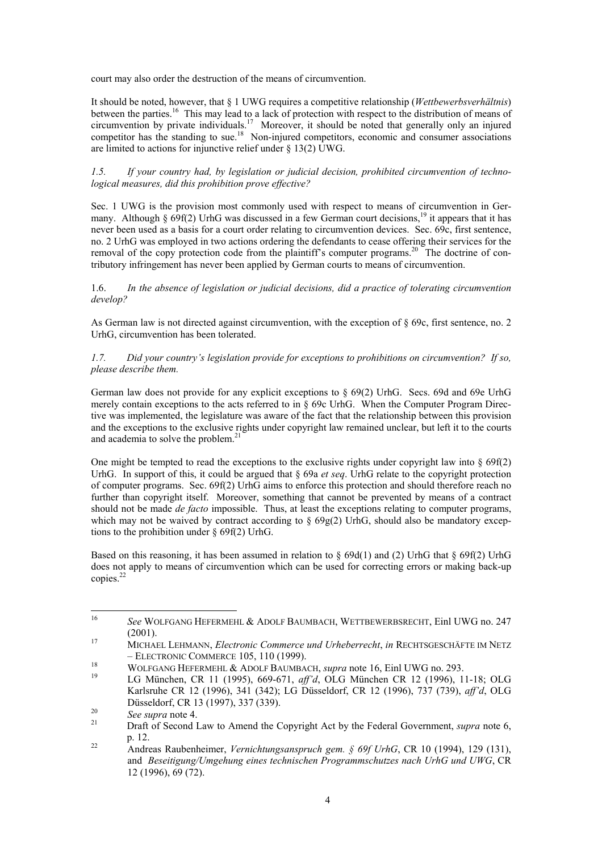court may also order the destruction of the means of circumvention.

It should be noted, however, that § 1 UWG requires a competitive relationship (*Wettbewerbsverhältnis*) between the parties.<sup>[16](#page-3-0)</sup> This may lead to a lack of protection with respect to the distribution of means of circumvention by private individuals. [17](#page-3-1) Moreover, it should be noted that generally only an injured competitor has the standing to sue.<sup>18</sup> Non-injured competitors, economic and consumer associations are limited to actions for injunctive relief under  $\S$  13(2) UWG.

#### *1.5. If your country had, by legislation or judicial decision, prohibited circumvention of technological measures, did this prohibition prove effective?*

Sec. 1 UWG is the provision most commonly used with respect to means of circumvention in Germany. Although  $\frac{1}{2}$  69f(2) UrhG was discussed in a few German court decisions.<sup>19</sup> it appears that it has never been used as a basis for a court order relating to circumvention devices. Sec. 69c, first sentence, no. 2 UrhG was employed in two actions ordering the defendants to cease offering their services for the removal of the copy protection code from the plaintiff's computer programs.<sup>20</sup> The doctrine of contributory infringement has never been applied by German courts to means of circumvention.

1.6. *In the absence of legislation or judicial decisions, did a practice of tolerating circumvention develop?*

As German law is not directed against circumvention, with the exception of § 69c, first sentence, no. 2 UrhG, circumvention has been tolerated.

## *1.7. Did your country's legislation provide for exceptions to prohibitions on circumvention? If so, please describe them.*

German law does not provide for any explicit exceptions to § 69(2) UrhG. Secs. 69d and 69e UrhG merely contain exceptions to the acts referred to in § 69c UrhG. When the Computer Program Directive was implemented, the legislature was aware of the fact that the relationship between this provision and the exceptions to the exclusive rights under copyright law remained unclear, but left it to the courts and academia to solve the problem.<sup>[21](#page-3-5)</sup>

One might be tempted to read the exceptions to the exclusive rights under copyright law into  $\S 69f(2)$ UrhG. In support of this, it could be argued that § 69a *et seq*. UrhG relate to the copyright protection of computer programs. Sec. 69f(2) UrhG aims to enforce this protection and should therefore reach no further than copyright itself. Moreover, something that cannot be prevented by means of a contract should not be made *de facto* impossible. Thus, at least the exceptions relating to computer programs, which may not be waived by contract according to  $\S 69g(2)$  UrhG, should also be mandatory exceptions to the prohibition under § 69f(2) UrhG.

Based on this reasoning, it has been assumed in relation to  $\S$  69d(1) and (2) UrhG that  $\S$  69f(2) UrhG does not apply to means of circumvention which can be used for correcting errors or making back-up copies.<sup>22</sup>

<span id="page-3-0"></span> <sup>16</sup> *See* WOLFGANG HEFERMEHL & ADOLF BAUMBACH, WETTBEWERBSRECHT, Einl UWG no. 247 (2001). 17 MICHAEL LEHMANN, *Electronic Commerce und Urheberrecht*, *in* RECHTSGESCHÄFTE IM NETZ

<span id="page-3-1"></span><sup>–</sup> ELECTRONIC COMMERCE 105, 110 (1999). 18 WOLFGANG HEFERMEHL & ADOLF BAUMBACH, *supra* note 16, Einl UWG no. 293. 19 LG München, CR 11 (1995), 669-671, *aff'd*, OLG München CR 12 (1996), 11-18; OLG

<span id="page-3-2"></span>

<span id="page-3-3"></span>Karlsruhe CR 12 (1996), 341 (342); LG Düsseldorf, CR 12 (1996), 737 (739), *aff'd*, OLG Düsseldorf, CR 13 (1997), 337 (339).<br><sup>20</sup> *See supra* note 4.<br><sup>21</sup> Draft of Second Law to Amend the Copyright Act by the Federal Government, *supra* note 6,

<span id="page-3-4"></span>

<span id="page-3-5"></span>p. 12. 22 Andreas Raubenheimer, *Vernichtungsanspruch gem. § 69f UrhG*, CR 10 (1994), 129 (131),

<span id="page-3-6"></span>and *Beseitigung/Umgehung eines technischen Programmschutzes nach UrhG und UWG*, CR 12 (1996), 69 (72).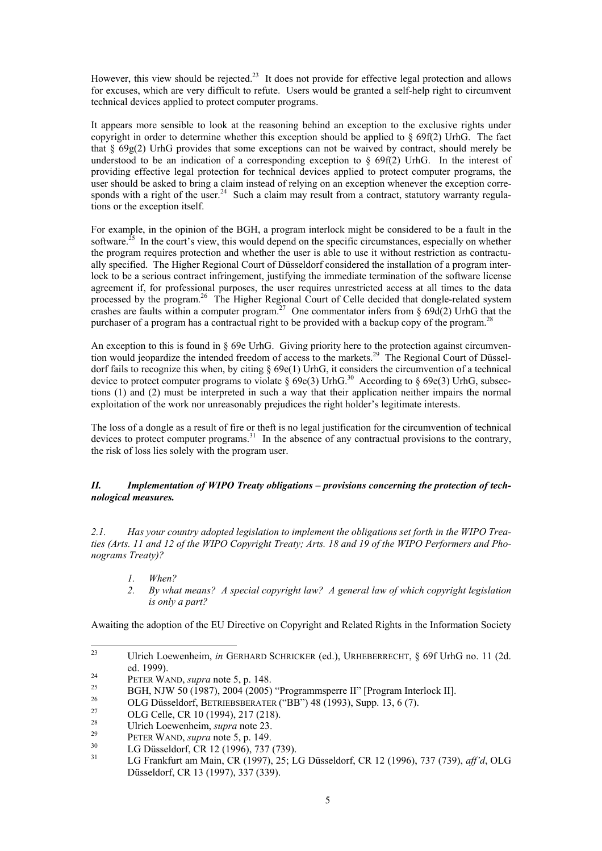However, this view should be rejected.<sup>23</sup> It does not provide for effective legal protection and allows for excuses, which are very difficult to refute. Users would be granted a self-help right to circumvent technical devices applied to protect computer programs.

It appears more sensible to look at the reasoning behind an exception to the exclusive rights under copyright in order to determine whether this exception should be applied to  $\S 69f(2)$  UrhG. The fact that  $\S 69g(2)$  UrhG provides that some exceptions can not be waived by contract, should merely be understood to be an indication of a corresponding exception to § 69f(2) UrhG. In the interest of providing effective legal protection for technical devices applied to protect computer programs, the user should be asked to bring a claim instead of relying on an exception whenever the exception corresponds with a right of the user.<sup>24</sup> Such a claim may result from a contract, statutory warranty regulations or the exception itself.

For example, in the opinion of the BGH, a program interlock might be considered to be a fault in the software.<sup>25</sup> In the court's view, this would depend on the specific circumstances, especially on whether the program requires protection and whether the user is able to use it without restriction as contractually specified. The Higher Regional Court of Düsseldorf considered the installation of a program interlock to be a serious contract infringement, justifying the immediate termination of the software license agreement if, for professional purposes, the user requires unrestricted access at all times to the data processed by the program.<sup>[26](#page-4-3)</sup> The Higher Regional Court of Celle decided that dongle-related system crashes are faults within a computer program.<sup>[27](#page-4-4)</sup> One commentator infers from § 69d(2) UrhG that the purchaser of a program has a contractual right to be provided with a backup copy of the program.<sup>[28](#page-4-5)</sup>

An exception to this is found in § 69e UrhG. Giving priority here to the protection against circumvention would jeopardize the intended freedom of access to the markets.<sup>29</sup> The Regional Court of Düsseldorf fails to recognize this when, by citing § 69e(1) UrhG, it considers the circumvention of a technical device to protect computer programs to violate  $\S 69e(3)$  UrhG.<sup>30</sup> According to  $\S 69e(3)$  UrhG, subsections (1) and (2) must be interpreted in such a way that their application neither impairs the normal exploitation of the work nor unreasonably prejudices the right holder's legitimate interests.

The loss of a dongle as a result of fire or theft is no legal justification for the circumvention of technical devices to protect computer programs.<sup>[31](#page-4-8)</sup> In the absence of any contractual provisions to the contrary, the risk of loss lies solely with the program user.

## *II. Implementation of WIPO Treaty obligations – provisions concerning the protection of technological measures.*

*2.1. Has your country adopted legislation to implement the obligations set forth in the WIPO Treaties (Arts. 11 and 12 of the WIPO Copyright Treaty; Arts. 18 and 19 of the WIPO Performers and Phonograms Treaty)?*

- *1. When?*
- 2. *By what means? A special copyright law? A general law of which copyright legislation is only a part?*

Awaiting the adoption of the EU Directive on Copyright and Related Rights in the Information Society

<span id="page-4-0"></span> <sup>23</sup> Ulrich Loewenheim, *in* GERHARD SCHRICKER (ed.), URHEBERRECHT, § 69f UrhG no. 11 (2d.

<span id="page-4-1"></span>

<span id="page-4-2"></span>

<span id="page-4-3"></span>

<span id="page-4-4"></span>

<span id="page-4-5"></span>

<span id="page-4-6"></span>

<span id="page-4-8"></span><span id="page-4-7"></span>

ed. 1999).<br>
PETER WAND, *supra* note 5, p. 148.<br>
BGH, NJW 50 (1987), 2004 (2005) "Programmsperre II" [Program Interlock II].<br>
OLG Düsseldorf, BETRIEBSBERATER ("BB") 48 (1993), Supp. 13, 6 (7).<br>
OLG Celle, CR 10 (1994), 217 Düsseldorf, CR 13 (1997), 337 (339).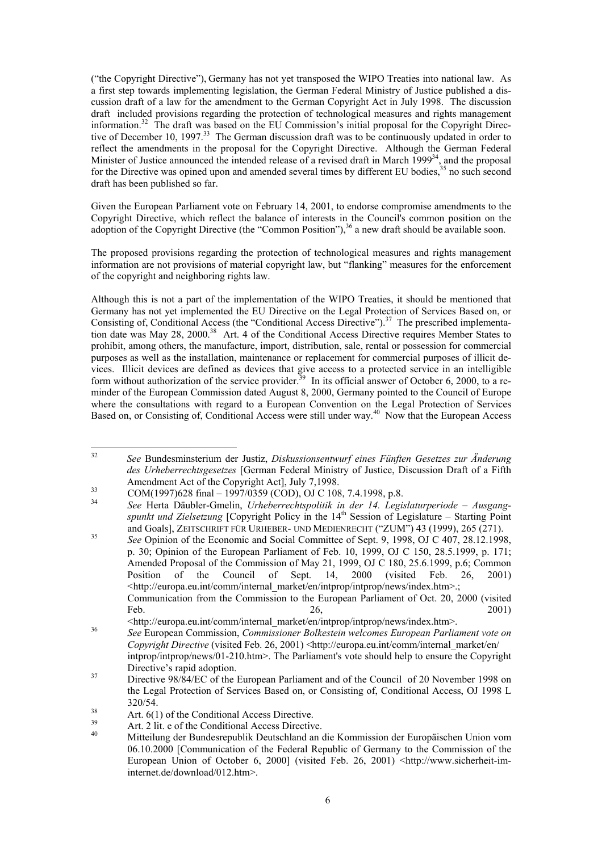("the Copyright Directive"), Germany has not yet transposed the WIPO Treaties into national law. As a first step towards implementing legislation, the German Federal Ministry of Justice published a discussion draft of a law for the amendment to the German Copyright Act in July 1998. The discussion draft included provisions regarding the protection of technological measures and rights management information.[32](#page-5-0) The draft was based on the EU Commission's initial proposal for the Copyright Directive of December 10, 1997.<sup>33</sup> The German discussion draft was to be continuously updated in order to reflect the amendments in the proposal for the Copyright Directive. Although the German Federal Minister of Justice announced the intended release of a revised draft in March 1999<sup>34</sup>, and the proposal for the Directive was opined upon and amended several times by different EU bodies,<sup>35</sup> no such second draft has been published so far.

Given the European Parliament vote on February 14, 2001, to endorse compromise amendments to the Copyright Directive, which reflect the balance of interests in the Council's common position on the adoption of the Copyright Directive (the "Common Position"),  $36$  a new draft should be available soon.

The proposed provisions regarding the protection of technological measures and rights management information are not provisions of material copyright law, but "flanking" measures for the enforcement of the copyright and neighboring rights law.

Although this is not a part of the implementation of the WIPO Treaties, it should be mentioned that Germany has not yet implemented the EU Directive on the Legal Protection of Services Based on, or Consisting of, Conditional Access (the "Conditional Access Directive").<sup>37</sup> The prescribed implementation date was May 28, 2000.[38](#page-5-6) Art. 4 of the Conditional Access Directive requires Member States to prohibit, among others, the manufacture, import, distribution, sale, rental or possession for commercial purposes as well as the installation, maintenance or replacement for commercial purposes of illicit devices. Illicit devices are defined as devices that give access to a protected service in an intelligible form without authorization of the service provider.<sup>39</sup> In its official answer of October 6, 2000, to a reminder of the European Commission dated August 8, 2000, Germany pointed to the Council of Europe where the consultations with regard to a European Convention on the Legal Protection of Services Based on, or Consisting of, Conditional Access were still under way.<sup>40</sup> Now that the European Access

<span id="page-5-0"></span> <sup>32</sup> *See* Bundesminsterium der Justiz, *Diskussionsentwurf eines Fünften Gesetzes zur Änderung des Urheberrechtsgesetzes* [German Federal Ministry of Justice, Discussion Draft of a Fifth Amendment Act of the Copyright Act], July 7,1998.<br>
34 COM(1997)628 final – 1997/0359 (COD), OJ C 108, 7.4.1998, p.8.<br> *See* Herta Däubler-Gmelin, *Urheberrechtspolitik in der 14. Legislaturperiode – Ausgang-*

<span id="page-5-1"></span>

<span id="page-5-2"></span>*spunkt und Zielsetzung* [Copyright Policy in the 14th Session of Legislature – Starting Point

<span id="page-5-3"></span>and Goals], ZEITSCHRIFT FÜR URHEBER- UND MEDIENRECHT ("ZUM") 43 (1999), 265 (271).<br><sup>35</sup> *See* Opinion of the Economic and Social Committee of Sept. 9, 1998, OJ C 407, 28.12.1998, p. 30; Opinion of the European Parliament of Feb. 10, 1999, OJ C 150, 28.5.1999, p. 171; Amended Proposal of the Commission of May 21, 1999, OJ C 180, 25.6.1999, p.6; Common Position of the Council of Sept. 14, 2000 (visited Feb. 26, 2001) <http://europa.eu.int/comm/internal\_market/en/intprop/intprop/news/index.htm>.; Communication from the Commission to the European Parliament of Oct. 20, 2000 (visited Feb. 2001)

<span id="page-5-4"></span>

<sup>&</sup>lt;http://europa.eu.int/comm/internal\_market/en/intprop/intprop/news/index.htm>. 36 *See* European Commission, *Commissioner Bolkestein welcomes European Parliament vote on Copyright Directive* (visited Feb. 26, 2001) <http://europa.eu.int/comm/internal\_market/en/ intprop/intprop/news/01-210.htm>. The Parliament's vote should help to ensure the Copyright

<span id="page-5-5"></span>Directive's rapid adoption. 37 Directive 98/84/EC of the European Parliament and of the Council of 20 November 1998 on the Legal Protection of Services Based on, or Consisting of, Conditional Access, OJ 1998 L

<span id="page-5-6"></span>

<span id="page-5-8"></span><span id="page-5-7"></span>

<sup>320/54.&</sup>lt;br>
33 Art. 6(1) of the Conditional Access Directive.<br>
39 Art. 2 lit. e of the Conditional Access Directive.<br>
40 Mitteilung der Bundesrepublik Deutschland an die Kommission der Europäischen Union vom 06.10.2000 [Communication of the Federal Republic of Germany to the Commission of the European Union of October 6, 2000] (visited Feb. 26, 2001) <http://www.sicherheit-iminternet.de/download/012.htm>.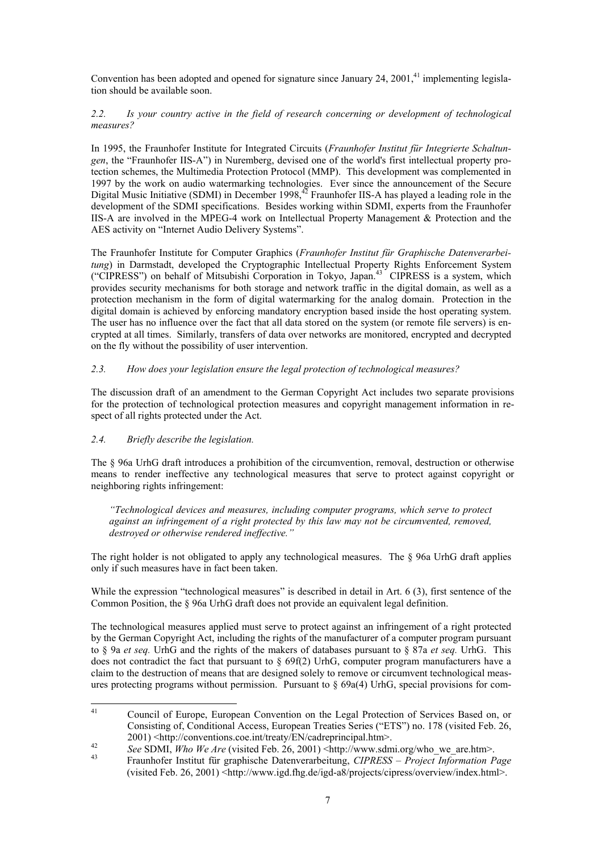Convention has been adopted and opened for signature since January 24,  $2001<sup>41</sup>$  implementing legislation should be available soon.

## *2.2. Is your country active in the field of research concerning or development of technological measures?*

In 1995, the Fraunhofer Institute for Integrated Circuits (*Fraunhofer Institut für Integrierte Schaltungen*, the "Fraunhofer IIS-A") in Nuremberg, devised one of the world's first intellectual property protection schemes, the Multimedia Protection Protocol (MMP). This development was complemented in 1997 by the work on audio [watermarking technologies.](https://epsilon.law.columbia.edu/mail/rxalab.nsf/38d46bf5e8f08834852564b500129b2c/c38d3738e432beb785256a01007b9074/$FILE/water.html) Ever since the announcement of the [Secure](http://www.sdmi.org/)  Digital Music [Initiative](http://www.sdmi.org/) (SDMI) in December 1998,<sup>42</sup> Fraunhofer IIS-A has played a leading role in the development of the SDMI specifications. Besides working within SDMI, experts from the Fraunhofer IIS-A are involved in the MPEG-4 work on Intellectual Property Management & Protection and the AES activity on "Internet Audio Delivery Systems".

The [Fraunhofer](http://www.igd.fhg.de/igd-a8/) Institute for Computer Graphics (*Fraunhofer Institut für Graphische Datenverarbeitung*) in Darmstadt, developed the Cryptographic Intellectual Property Rights Enforcement System ("CIPRESS") on behalf of [Mitsubishi Corporation](http://www.mitsubishi.co.jp/En/index.html) in Tokyo, Japan.[43](#page-6-2) CIPRESS is a system, which provides security mechanisms for both storage and network traffic in the digital domain, as well as a protection mechanism in the form of digital watermarking for the analog domain. Protection in the digital domain is achieved by enforcing mandatory encryption based inside the host operating system. The user has no influence over the fact that all data stored on the system (or remote file servers) is encrypted at all times. Similarly, transfers of data over networks are monitored, encrypted and decrypted on the fly without the possibility of user intervention.

## *2.3. How does your legislation ensure the legal protection of technological measures?*

The discussion draft of an amendment to the German Copyright Act includes two separate provisions for the protection of technological protection measures and copyright management information in respect of all rights protected under the Act.

# *2.4. Briefly describe the legislation.*

The § 96a UrhG draft introduces a prohibition of the circumvention, removal, destruction or otherwise means to render ineffective any technological measures that serve to protect against copyright or neighboring rights infringement:

*"Technological devices and measures, including computer programs, which serve to protect against an infringement of a right protected by this law may not be circumvented, removed, destroyed or otherwise rendered ineffective."* 

The right holder is not obligated to apply any technological measures. The § 96a UrhG draft applies only if such measures have in fact been taken.

While the expression "technological measures" is described in detail in Art. 6 (3), first sentence of the Common Position, the § 96a UrhG draft does not provide an equivalent legal definition.

The technological measures applied must serve to protect against an infringement of a right protected by the German Copyright Act, including the rights of the manufacturer of a computer program pursuant to § 9a *et seq.* UrhG and the rights of the makers of databases pursuant to § 87a *et seq.* UrhG. This does not contradict the fact that pursuant to  $\S 69f(2)$  UrhG, computer program manufacturers have a claim to the destruction of means that are designed solely to remove or circumvent technological measures protecting programs without permission. Pursuant to  $\S 69a(4)$  UrhG, special provisions for com-

<span id="page-6-0"></span> <sup>41</sup> Council of Europe, European Convention on the Legal Protection of Services Based on, or Consisting of, Conditional Access, European Treaties Series ("ETS") no. 178 (visited Feb. 26,

<sup>2001) &</sup>lt;http://conventions.coe.int/treaty/EN/cadreprincipal.htm>.<br>
See SDMI, Who We Are (visited Feb. 26, 2001) <http://www.sdmi.org/who\_we\_are.htm>.<br>
Fraunhofer Institut für graphische Datenverarbeitung, *CIPRESS – Project* 

<span id="page-6-2"></span><span id="page-6-1"></span><sup>(</sup>visited Feb. 26, 2001) <http://www.igd.fhg.de/igd-a8/projects/cipress/overview/index.html>.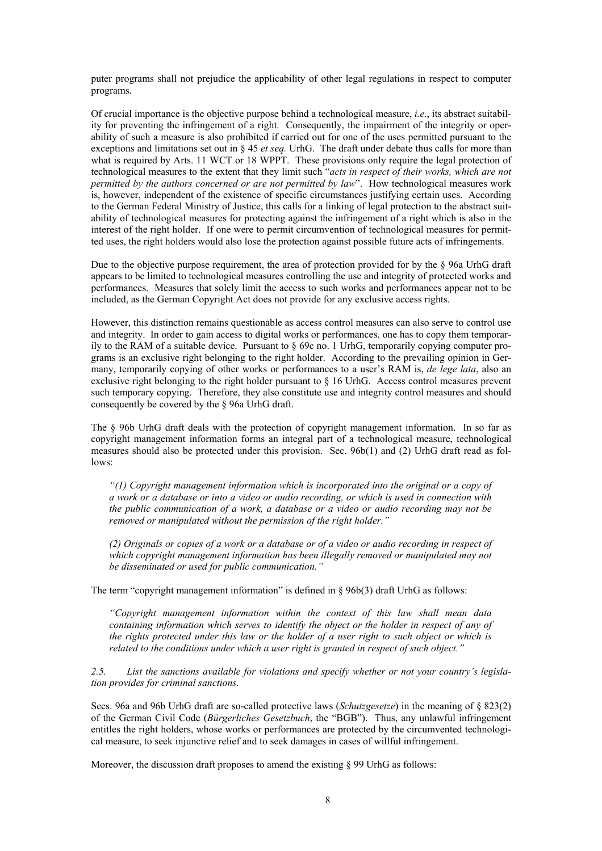puter programs shall not prejudice the applicability of other legal regulations in respect to computer programs.

Of crucial importance is the objective purpose behind a technological measure, *i.e*., its abstract suitability for preventing the infringement of a right. Consequently, the impairment of the integrity or operability of such a measure is also prohibited if carried out for one of the uses permitted pursuant to the exceptions and limitations set out in § 45 *et seq.* UrhG. The draft under debate thus calls for more than what is required by Arts. 11 WCT or 18 WPPT. These provisions only require the legal protection of technological measures to the extent that they limit such "*acts in respect of their works, which are not permitted by the authors concerned or are not permitted by law*". How technological measures work is, however, independent of the existence of specific circumstances justifying certain uses. According to the German Federal Ministry of Justice, this calls for a linking of legal protection to the abstract suitability of technological measures for protecting against the infringement of a right which is also in the interest of the right holder. If one were to permit circumvention of technological measures for permitted uses, the right holders would also lose the protection against possible future acts of infringements.

Due to the objective purpose requirement, the area of protection provided for by the § 96a UrhG draft appears to be limited to technological measures controlling the use and integrity of protected works and performances. Measures that solely limit the access to such works and performances appear not to be included, as the German Copyright Act does not provide for any exclusive access rights.

However, this distinction remains questionable as access control measures can also serve to control use and integrity. In order to gain access to digital works or performances, one has to copy them temporarily to the RAM of a suitable device. Pursuant to  $\S$  69c no. 1 UrhG, temporarily copying computer programs is an exclusive right belonging to the right holder. According to the prevailing opinion in Germany, temporarily copying of other works or performances to a user's RAM is, *de lege lata*, also an exclusive right belonging to the right holder pursuant to § 16 UrhG. Access control measures prevent such temporary copying. Therefore, they also constitute use and integrity control measures and should consequently be covered by the § 96a UrhG draft.

The § 96b UrhG draft deals with the protection of copyright management information. In so far as copyright management information forms an integral part of a technological measure, technological measures should also be protected under this provision. Sec. 96b(1) and (2) UrhG draft read as follows:

*"(1) Copyright management information which is incorporated into the original or a copy of a work or a database or into a video or audio recording, or which is used in connection with the public communication of a work, a database or a video or audio recording may not be removed or manipulated without the permission of the right holder."* 

*(2) Originals or copies of a work or a database or of a video or audio recording in respect of which copyright management information has been illegally removed or manipulated may not be disseminated or used for public communication."* 

The term "copyright management information" is defined in § 96b(3) draft UrhG as follows:

*"Copyright management information within the context of this law shall mean data containing information which serves to identify the object or the holder in respect of any of the rights protected under this law or the holder of a user right to such object or which is related to the conditions under which a user right is granted in respect of such object."* 

*2.5. List the sanctions available for violations and specify whether or not your country's legislation provides for criminal sanctions.* 

Secs. 96a and 96b UrhG draft are so-called protective laws (*Schutzgesetze*) in the meaning of § 823(2) of the German Civil Code (*Bürgerliches Gesetzbuch*, the "BGB"). Thus, any unlawful infringement entitles the right holders, whose works or performances are protected by the circumvented technological measure, to seek injunctive relief and to seek damages in cases of willful infringement.

Moreover, the discussion draft proposes to amend the existing § 99 UrhG as follows: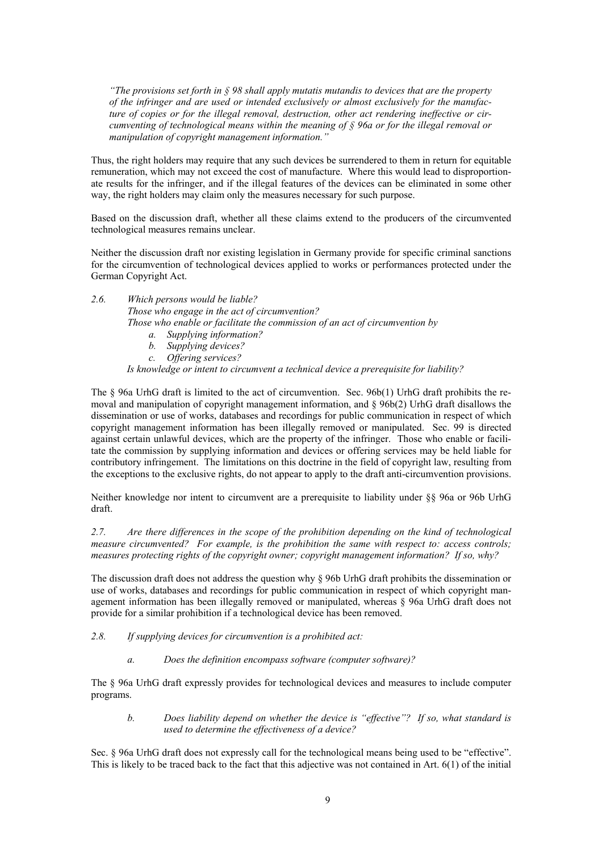*"The provisions set forth in § 98 shall apply mutatis mutandis to devices that are the property of the infringer and are used or intended exclusively or almost exclusively for the manufacture of copies or for the illegal removal, destruction, other act rendering ineffective or circumventing of technological means within the meaning of § 96a or for the illegal removal or manipulation of copyright management information."* 

Thus, the right holders may require that any such devices be surrendered to them in return for equitable remuneration, which may not exceed the cost of manufacture. Where this would lead to disproportionate results for the infringer, and if the illegal features of the devices can be eliminated in some other way, the right holders may claim only the measures necessary for such purpose.

Based on the discussion draft, whether all these claims extend to the producers of the circumvented technological measures remains unclear.

Neither the discussion draft nor existing legislation in Germany provide for specific criminal sanctions for the circumvention of technological devices applied to works or performances protected under the German Copyright Act.

*2.6. Which persons would be liable? Those who engage in the act of circumvention? Those who enable or facilitate the commission of an act of circumvention by* 

- *a. Supplying information?*
- *b. Supplying devices?*
- *c. Offering services?*

*Is knowledge or intent to circumvent a technical device a prerequisite for liability?*

The § 96a UrhG draft is limited to the act of circumvention. Sec. 96b(1) UrhG draft prohibits the removal and manipulation of copyright management information, and  $\S$  96b(2) UrhG draft disallows the dissemination or use of works, databases and recordings for public communication in respect of which copyright management information has been illegally removed or manipulated. Sec. 99 is directed against certain unlawful devices, which are the property of the infringer. Those who enable or facilitate the commission by supplying information and devices or offering services may be held liable for contributory infringement. The limitations on this doctrine in the field of copyright law, resulting from the exceptions to the exclusive rights, do not appear to apply to the draft anti-circumvention provisions.

Neither knowledge nor intent to circumvent are a prerequisite to liability under §§ 96a or 96b UrhG draft.

*.7. Are there differences in the scope of the prohibition depending on the kind of technological 2 measure circumvented? For example, is the prohibition the same with respect to: access controls; measures protecting rights of the copyright owner; copyright management information? If so, why?* 

The discussion draft does not address the question why  $\S$  96b UrhG draft prohibits the dissemination or use of works, databases and recordings for public communication in respect of which copyright management information has been illegally removed or manipulated, whereas § 96a UrhG draft does not provide for a similar prohibition if a technological device has been removed.

*.8. If supplying devices for circumvention is a prohibited act: 2*

*a. Does the definition encompass software (computer software)?* 

The § 96a UrhG draft expressly provides for technological devices and measures to include computer programs.

*b. Does liability depend on whether the device is "effective"? If so, what standard is used to determine the effectiveness of a device?* 

Sec. § 96a UrhG draft does not expressly call for the technological means being used to be "effective". This is likely to be traced back to the fact that this adjective was not contained in Art. 6(1) of the initial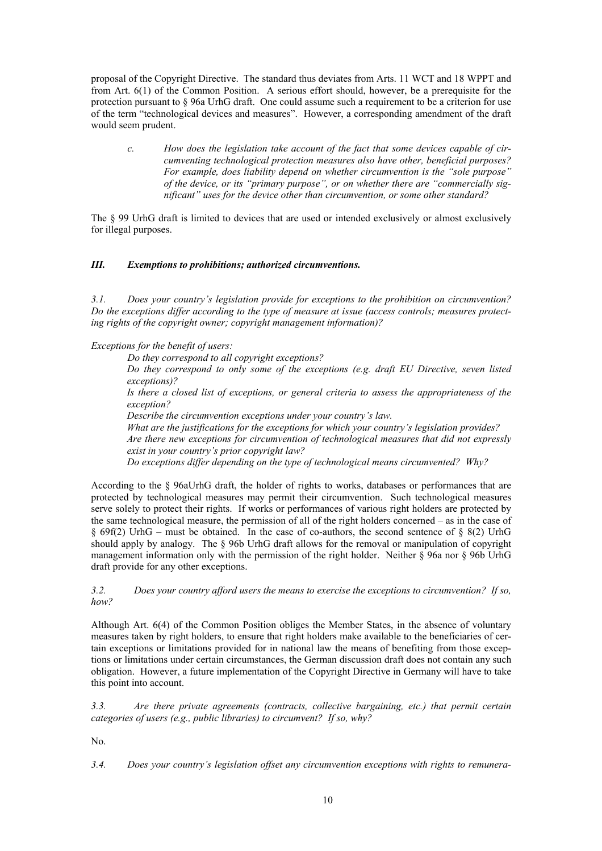proposal of the Copyright Directive. The standard thus deviates from Arts. 11 WCT and 18 WPPT and from Art. 6(1) of the Common Position. A serious effort should, however, be a prerequisite for the protection pursuant to § 96a UrhG draft. One could assume such a requirement to be a criterion for use of the term "technological devices and measures". However, a corresponding amendment of the draft would seem prudent.

*c. How does the legislation take account of the fact that some devices capable of circumventing technological protection measures also have other, beneficial purposes? For example, does liability depend on whether circumvention is the "sole purpose"*  of the device, or its "primary purpose", or on whether there are "commercially sig*nificant" uses for the device other than circumvention, or some other standard?* 

The  $\S$  99 UrhG draft is limited to devices that are used or intended exclusively or almost exclusively for illegal purposes.

#### *I. Exemptions to prohibitions; authorized circumventions. II*

*.1. Does your country's legislation provide for exceptions to the prohibition on circumvention?*  Do the exceptions differ according to the type of measure at issue (access controls; measures protecting rights of the copyright owner; copyright management information)? *3*

#### *Exceptions for the benefit of users:*

*Do they correspond to all copyright exceptions?* 

*ly some of the exceptions (e.g. draft EU Directive, seven listed Do they correspond to on exceptions)?*

*Is there a closed list of exceptions, or general criteria to assess the appropriateness of the exception?* 

*Describe the circumvention exceptions under your country's law.* 

*What are the justifications for the exceptions for which your country's legislation provides? sures that did not expressly Are there new exceptions for circumvention of technological mea exist in your country's prior copyright law?*

*Do exceptions differ depending on the type of technological means circumvented? Why?* 

According to the § 96aUrhG draft, the holder of rights to works, databases or performances that are protected by technological measures may permit their circumvention. Such technological measures serve solely to protect their rights. If works or performances of various right holders are protected by the same technological measure, the permission of all of the right holders concerned – as in the case of  $§ 69f(2)$  UrhG – must be obtained. In the case of co-authors, the second sentence of  $§ 8(2)$  UrhG should apply by analogy. The § 96b UrhG draft allows for the removal or manipulation of copyright management information only with the permission of the right holder. Neither § 96a nor § 96b UrhG draft provide for any other exceptions.

*s the means to exercise the exceptions to circumvention? If so, 3.2. Does your country afford user ow? h*

Although Art. 6(4) of the Common Position obliges the Member States, in the absence of voluntary measures taken by right holders, to ensure that right holders make available to the beneficiaries of certain exceptions or limitations provided for in national law the means of benefiting from those exceptions or limitations under certain circumstances, the German discussion draft does not contain any such obligation. However, a future implementation of the Copyright Directive in Germany will have to take this point into account.

*ents (contracts, collective bargaining, etc.) that permit certain 3.3. Are there private agreem ategories of users (e.g., public libraries) to circumvent? If so, why? c*

No.

*Does your country's legislation offset any circumvention exceptions with rights to remunera-3.4.*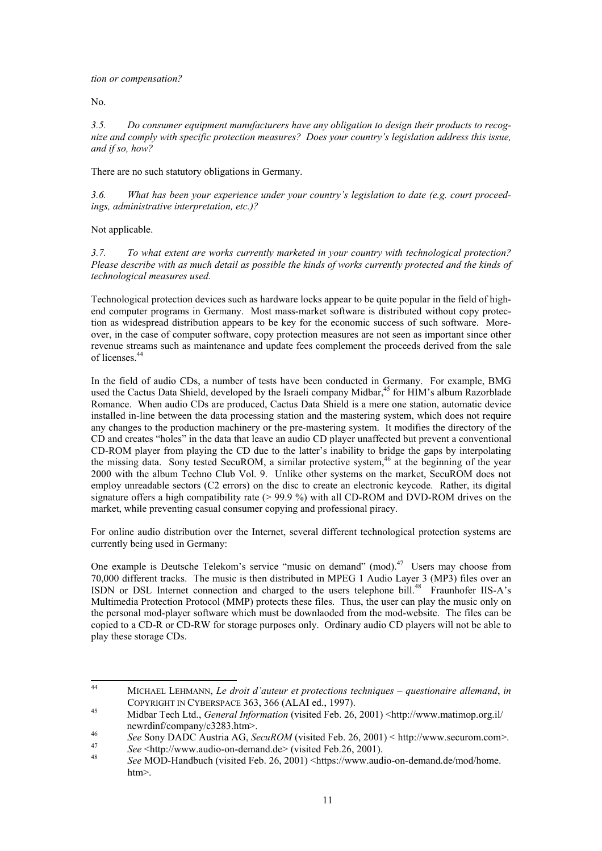*tion or compensation?* 

No.

*Do consumer equipment manufacturers have any obligation to design their products to recogize and comply with specific protection measures? Does your country's legislation address this issue, n and if so*, *how? 3.5.* 

There are no such statutory obligations in Germany.

*country's legislation to date (e.g. court proceed-3.6. What has been your experience under your* ings, administrative interpretation, etc.)?

Not applicable.

*t extent are works currently marketed in your country with technological protection? 3.7. To wha lease describe with as much detail as possible the kinds of works currently protected and the kinds of P technological measures used.* 

Technological protection devices such as hardware locks appear to be quite popular in the field of highend computer programs in Germany. Most mass-market software is distributed without copy protection as widespread distribution appears to be key for the economic success of such software. Moreover, in the case of computer software, copy protection measures are not seen as important since other revenue streams such as maintenance and update fees complement the proceeds derived from the sale of licenses<sup>44</sup>

In the field of audio CDs, a number of tests have been conducted in Germany. For example, BMG used the Cactus Data Shield, developed by the Israeli company Midbar,<sup>45</sup> for HIM's album Razorblade Romance. When audio CDs are produced, Cactus Data Shield is a mere one station, automatic device installed in-line between the data processing station and the mastering system, which does not require any changes to the production machinery or the pre-mastering system. It modifies the directory of the CD and creates "holes" in the data that leave an audio CD player unaffected but prevent a conventional CD-ROM player from playing the CD due to the latter's inability to bridge the gaps by interpolating the missing data. Sony tested SecuROM, a similar protective system, [46](#page-10-2) at the beginning of the year 2000 with the album Techno Club Vol. 9. Unlike other systems on the market, SecuROM does not employ unreadable sectors (C2 errors) on the disc to create an electronic keycode. Rather, its digital signature offers a high compatibility rate  $(> 99.9 \%)$  with all CD-ROM and DVD-ROM drives on the market, while preventing casual consumer copying and professional piracy.

For online audio distribution over the Internet, several different technological protection systems are currently being used in Germany:

One example is Deutsche Telekom's service "music on demand" (mod).<sup>[47](#page-10-3)</sup> Users may choose from 0,000 different tracks. The music is then distributed in MPEG 1 Audio Layer 3 (MP3) files over an 7 ISDN or DSL Internet connection and charged to the users telephone bill.<sup>48</sup> Fraunhofer IIS-A's Multimedia Protection Protocol (MMP) protects these files. Thus, the user can play the music only on the personal mod-player software which must be downlaoded from the mod-website. The files can be copied to a CD-R or CD-RW for storage purposes only. Ordinary audio CD players will not be able to play these storage CDs.

<span id="page-10-0"></span> $\overline{A}$ 44 MICHAEL LEHMANN, *Le droit d'auteur et protections techniques – questionaire allemand*, *in* COPYRIGHT IN CYBERSPACE 363, 366 (ALAI ed., 1997). 45 Midbar Tech Ltd., *General Information* (visited Feb. 26, 2001) <http://www.matimop.org.il/

<span id="page-10-1"></span>

<span id="page-10-2"></span>newrdinf/company/c3283.htm>.<br>
See Sony DADC Austria AG, SecuROM (visited Feb. 26, 2001) < http://www.securom.com>.<br>
See <http://www.audio-on-demand.de> (visited Feb.26, 2001).<br>
See MOD-Handbuch (visited Feb. 26, 2001) <htt

<span id="page-10-3"></span>

<span id="page-10-4"></span>htm>.